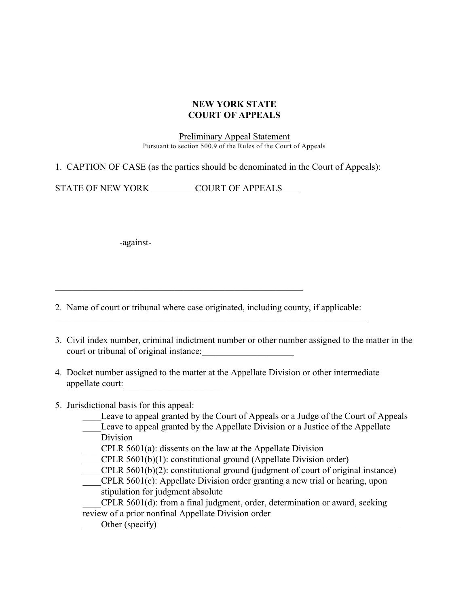## **NEW YORK STATE COURT OF APPEALS**

Preliminary Appeal Statement Pursuant to section 500.9 of the Rules of the Court of Appeals

1. CAPTION OF CASE (as the parties should be denominated in the Court of Appeals):

STATE OF NEW YORK COURT OF APPEALS

-against-

2. Name of court or tribunal where case originated, including county, if applicable: \_\_\_\_\_\_\_\_\_\_\_\_\_\_\_\_\_\_\_\_\_\_\_\_\_\_\_\_\_\_\_\_\_\_\_\_\_\_\_\_\_\_\_\_\_\_\_\_\_\_\_\_\_\_\_\_\_\_\_\_\_\_\_\_\_\_\_\_

- 3. Civil index number, criminal indictment number or other number assigned to the matter in the court or tribunal of original instance:
- 4. Docket number assigned to the matter at the Appellate Division or other intermediate appellate court:
- 5. Jurisdictional basis for this appeal:
	- Leave to appeal granted by the Court of Appeals or a Judge of the Court of Appeals
	- Leave to appeal granted by the Appellate Division or a Justice of the Appellate Division
	- $CPLR 5601(a)$ : dissents on the law at the Appellate Division
	- \_\_\_\_CPLR 5601(b)(1): constitutional ground (Appellate Division order)
	- $CPLR$  5601(b)(2): constitutional ground (judgment of court of original instance)
	- $CPLR 5601(c)$ : Appellate Division order granting a new trial or hearing, upon stipulation for judgment absolute

\_\_\_\_CPLR 5601(d): from a final judgment, order, determination or award, seeking review of a prior nonfinal Appellate Division order

Other (specify)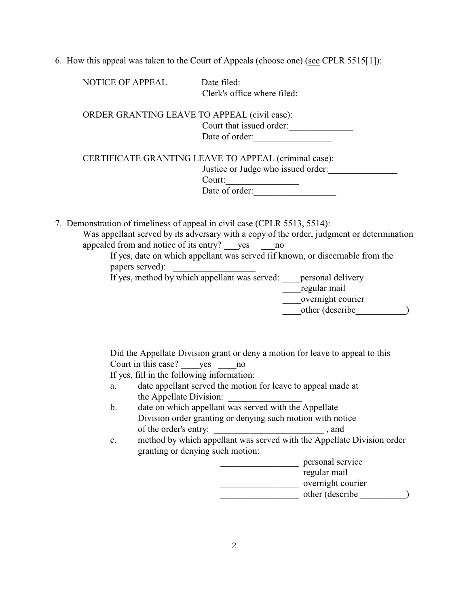6. How this appeal was taken to the Court of Appeals (choose one) (see CPLR 5515[1]):

| <b>NOTICE OF APPEAL</b>                    | Date filed:                                                                               |
|--------------------------------------------|-------------------------------------------------------------------------------------------|
|                                            | Clerk's office where filed:                                                               |
|                                            | ORDER GRANTING LEAVE TO APPEAL (civil case):                                              |
|                                            | Court that issued order:                                                                  |
|                                            | Date of order:                                                                            |
|                                            | CERTIFICATE GRANTING LEAVE TO APPEAL (criminal case):                                     |
|                                            | Justice or Judge who issued order:                                                        |
|                                            | Court:                                                                                    |
|                                            | Date of order:                                                                            |
|                                            |                                                                                           |
|                                            | 7. Demonstration of timeliness of appeal in civil case (CPLR 5513, 5514):                 |
|                                            | Was appellant served by its adversary with a copy of the order, judgment or determination |
| appealed from and notice of its entry? yes | no                                                                                        |

If yes, date on which appellant was served (if known, or discernable from the papers served):

If yes, method by which appellant was served: \_\_\_\_personal delivery

\_\_\_\_regular mail

- \_\_\_\_overnight courier
- other (describe )

Did the Appellate Division grant or deny a motion for leave to appeal to this Court in this case? yes no

If yes, fill in the following information:

- a. date appellant served the motion for leave to appeal made at the Appellate Division: \_\_\_\_\_\_\_\_\_\_\_\_\_\_\_\_
- b. date on which appellant was served with the Appellate Division order granting or denying such motion with notice of the order's entry:  $\qquad \qquad$ , and
- c. method by which appellant was served with the Appellate Division order granting or denying such motion:

| personal service  |  |
|-------------------|--|
| regular mail      |  |
| overnight courier |  |
| other (describe)  |  |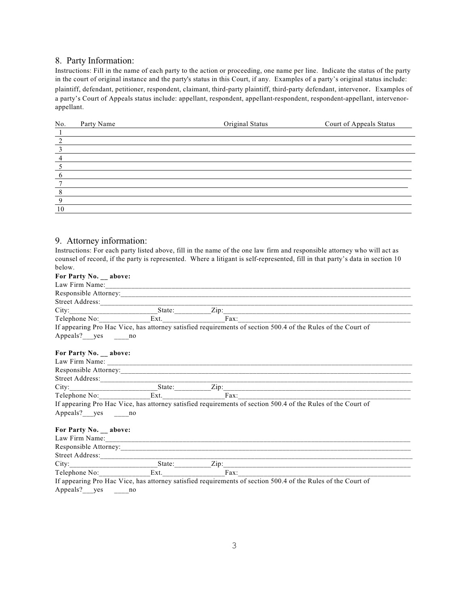### 8. Party Information:

Instructions: Fill in the name of each party to the action or proceeding, one name per line. Indicate the status of the party in the court of original instance and the party's status in this Court, if any. Examples of a party's original status include: plaintiff, defendant, petitioner, respondent, claimant, third-party plaintiff, third-party defendant, intervenor. Examples of a party's Court of Appeals status include: appellant, respondent, appellant-respondent, respondent-appellant, intervenorappellant.

| No.      | Party Name | Original Status | Court of Appeals Status |
|----------|------------|-----------------|-------------------------|
|          |            |                 |                         |
|          |            |                 |                         |
|          |            |                 |                         |
| 4        |            |                 |                         |
|          |            |                 |                         |
| 6        |            |                 |                         |
|          |            |                 |                         |
|          |            |                 |                         |
| $\Omega$ |            |                 |                         |
| 10       |            |                 |                         |

#### 9. Attorney information:

Instructions: For each party listed above, fill in the name of the one law firm and responsible attorney who will act as counsel of record, if the party is represented. Where a litigant is self-represented, fill in that party's data in section 10 below.

| For Party No. above:   |                                                                                                                                                                                                                                |  |
|------------------------|--------------------------------------------------------------------------------------------------------------------------------------------------------------------------------------------------------------------------------|--|
|                        | Law Firm Name: 1988 Manual Communication of the Manual Communication of the Manual Communication of the Manual Communication of the Manual Communication of the Manual Communication of the Manual Communication of the Manual |  |
|                        |                                                                                                                                                                                                                                |  |
|                        |                                                                                                                                                                                                                                |  |
|                        |                                                                                                                                                                                                                                |  |
|                        |                                                                                                                                                                                                                                |  |
|                        | If appearing Pro Hac Vice, has attorney satisfied requirements of section 500.4 of the Rules of the Court of                                                                                                                   |  |
| Appeals? yes no        |                                                                                                                                                                                                                                |  |
|                        |                                                                                                                                                                                                                                |  |
| For Party No. _ above: |                                                                                                                                                                                                                                |  |
|                        |                                                                                                                                                                                                                                |  |
|                        |                                                                                                                                                                                                                                |  |
|                        |                                                                                                                                                                                                                                |  |
|                        |                                                                                                                                                                                                                                |  |
|                        |                                                                                                                                                                                                                                |  |
|                        | If appearing Pro Hac Vice, has attorney satisfied requirements of section 500.4 of the Rules of the Court of                                                                                                                   |  |
| Appeals? yes no        |                                                                                                                                                                                                                                |  |
|                        |                                                                                                                                                                                                                                |  |
| For Party No. above:   |                                                                                                                                                                                                                                |  |
|                        | Law Firm Name: 1988 Manual Manual Manual Manual Manual Manual Manual Manual Manual Manual Manual Manual Manual                                                                                                                 |  |
|                        |                                                                                                                                                                                                                                |  |
|                        |                                                                                                                                                                                                                                |  |
|                        |                                                                                                                                                                                                                                |  |
|                        | Telephone No: Ext. Fax: Fax:                                                                                                                                                                                                   |  |
|                        | If appearing Pro Hac Vice, has attorney satisfied requirements of section 500.4 of the Rules of the Court of                                                                                                                   |  |

Appeals?\_\_yes \_\_\_no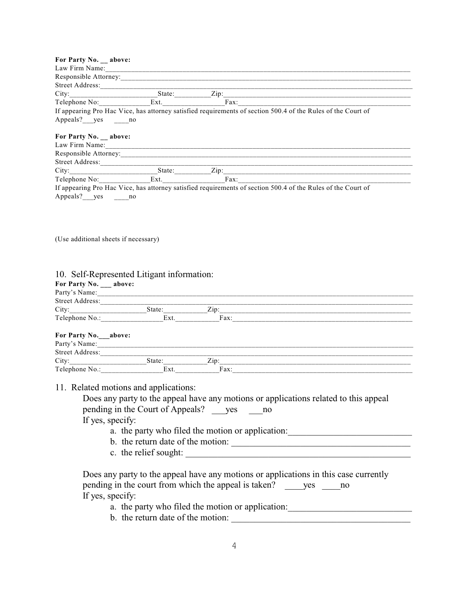| For Party No. above:   |        |      |                                                                                                              |
|------------------------|--------|------|--------------------------------------------------------------------------------------------------------------|
| Law Firm Name:         |        |      |                                                                                                              |
| Responsible Attorney:  |        |      |                                                                                                              |
| Street Address:        |        |      |                                                                                                              |
|                        | State: | Zip: |                                                                                                              |
| Telephone No:          | Ext.   | Fax: |                                                                                                              |
|                        |        |      | If appearing Pro Hac Vice, has attorney satisfied requirements of section 500.4 of the Rules of the Court of |
| Appeals? yes no        |        |      |                                                                                                              |
| For Party No. _ above: |        |      |                                                                                                              |
| Law Firm Name:         |        |      |                                                                                                              |
| Responsible Attorney:  |        |      |                                                                                                              |
| Street Address:        |        |      |                                                                                                              |
| City:                  | State: | Zip: |                                                                                                              |
| Telephone No:          | Ext.   | Fax: |                                                                                                              |
|                        |        |      | If appearing Pro Hac Vice, has attorney satisfied requirements of section 500.4 of the Rules of the Court of |

| Appeals? | ves | no |
|----------|-----|----|
|          |     |    |

(Use additional sheets if necessary)

### 10. Self-Represented Litigant information:

| For Party No. __ above: |                                                                                                                                                                                                                                                    |  |
|-------------------------|----------------------------------------------------------------------------------------------------------------------------------------------------------------------------------------------------------------------------------------------------|--|
|                         |                                                                                                                                                                                                                                                    |  |
|                         |                                                                                                                                                                                                                                                    |  |
|                         |                                                                                                                                                                                                                                                    |  |
|                         |                                                                                                                                                                                                                                                    |  |
| For Party No. above:    |                                                                                                                                                                                                                                                    |  |
|                         |                                                                                                                                                                                                                                                    |  |
|                         |                                                                                                                                                                                                                                                    |  |
|                         |                                                                                                                                                                                                                                                    |  |
|                         |                                                                                                                                                                                                                                                    |  |
| If yes, specify:        | Does any party to the appeal have any motions or applications related to this appeal<br>pending in the Court of Appeals? yes no<br>a. the party who filed the motion or application:<br>b. the return date of the motion:<br>c. the relief sought: |  |
| If yes, specify:        | Does any party to the appeal have any motions or applications in this case currently<br>pending in the court from which the appeal is taken? yes<br>no                                                                                             |  |

a. the party who filed the motion or application:\_\_\_\_\_\_\_\_\_\_\_\_\_\_\_\_\_\_\_\_\_\_\_\_\_\_\_\_\_\_\_\_

b. the return date of the motion: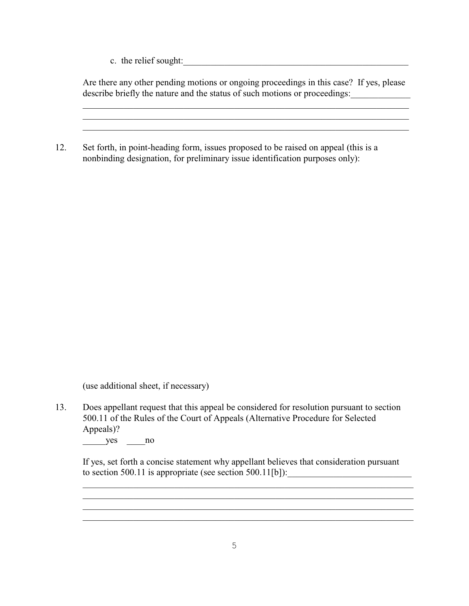c. the relief sought:

Are there any other pending motions or ongoing proceedings in this case? If yes, please describe briefly the nature and the status of such motions or proceedings:

\_\_\_\_\_\_\_\_\_\_\_\_\_\_\_\_\_\_\_\_\_\_\_\_\_\_\_\_\_\_\_\_\_\_\_\_\_\_\_\_\_\_\_\_\_\_\_\_\_\_\_\_\_\_\_\_\_\_\_\_\_\_\_\_\_\_\_\_\_\_\_ \_\_\_\_\_\_\_\_\_\_\_\_\_\_\_\_\_\_\_\_\_\_\_\_\_\_\_\_\_\_\_\_\_\_\_\_\_\_\_\_\_\_\_\_\_\_\_\_\_\_\_\_\_\_\_\_\_\_\_\_\_\_\_\_\_\_\_\_\_\_\_

12. Set forth, in point-heading form, issues proposed to be raised on appeal (this is a nonbinding designation, for preliminary issue identification purposes only):

(use additional sheet, if necessary)

13. Does appellant request that this appeal be considered for resolution pursuant to section 500.11 of the Rules of the Court of Appeals (Alternative Procedure for Selected Appeals)?

\_\_\_\_\_yes \_\_\_\_no

If yes, set forth a concise statement why appellant believes that consideration pursuant to section 500.11 is appropriate (see section 500.11[b]): $\qquad \qquad$ 

\_\_\_\_\_\_\_\_\_\_\_\_\_\_\_\_\_\_\_\_\_\_\_\_\_\_\_\_\_\_\_\_\_\_\_\_\_\_\_\_\_\_\_\_\_\_\_\_\_\_\_\_\_\_\_\_\_\_\_\_\_\_\_\_\_\_\_\_\_\_\_\_ \_\_\_\_\_\_\_\_\_\_\_\_\_\_\_\_\_\_\_\_\_\_\_\_\_\_\_\_\_\_\_\_\_\_\_\_\_\_\_\_\_\_\_\_\_\_\_\_\_\_\_\_\_\_\_\_\_\_\_\_\_\_\_\_\_\_\_\_\_\_\_\_ \_\_\_\_\_\_\_\_\_\_\_\_\_\_\_\_\_\_\_\_\_\_\_\_\_\_\_\_\_\_\_\_\_\_\_\_\_\_\_\_\_\_\_\_\_\_\_\_\_\_\_\_\_\_\_\_\_\_\_\_\_\_\_\_\_\_\_\_\_\_\_\_